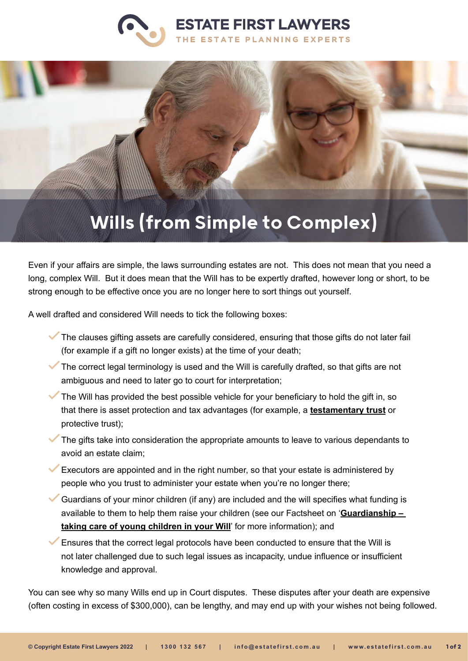



# Wills (from Simple to Complex)

Even if your affairs are simple, the laws surrounding estates are not. This does not mean that you need a long, complex Will. But it does mean that the Will has to be expertly drafted, however long or short, to be strong enough to be effective once you are no longer here to sort things out yourself.

A well drafted and considered Will needs to tick the following boxes:

- The clauses gifting assets are carefully considered, ensuring that those gifts do not later fail (for example if a gift no longer exists) at the time of your death;
- The correct legal terminology is used and the Will is carefully drafted, so that gifts are not ambiguous and need to later go to court for interpretation;
- The Will has provided the best possible vehicle for your beneficiary to hold the gift in, so that there is asset protection and tax advantages (for example, a **[testamentary trust](https://www.estatefirst.com.au/estate-planning/testamentary-trust-wills)** or protective trust);
- The gifts take into consideration the appropriate amounts to leave to various dependants to avoid an estate claim;
- Executors are appointed and in the right number, so that your estate is administered by people who you trust to administer your estate when you're no longer there;
- Guardians of your minor children (if any) are included and the will specifies what funding is available to them to help them raise your children (see our Factsheet on '**[Guardianship –](https://www.estatefirst.com.au/couples-singles-with-young-children)  [taking care of young children in your Will](https://www.estatefirst.com.au/couples-singles-with-young-children)**' for more information); and

Ensures that the correct legal protocols have been conducted to ensure that the Will is not later challenged due to such legal issues as incapacity, undue influence or insufficient knowledge and approval.

You can see why so many Wills end up in Court disputes. These disputes after your death are expensive (often costing in excess of \$300,000), can be lengthy, and may end up with your wishes not being followed.